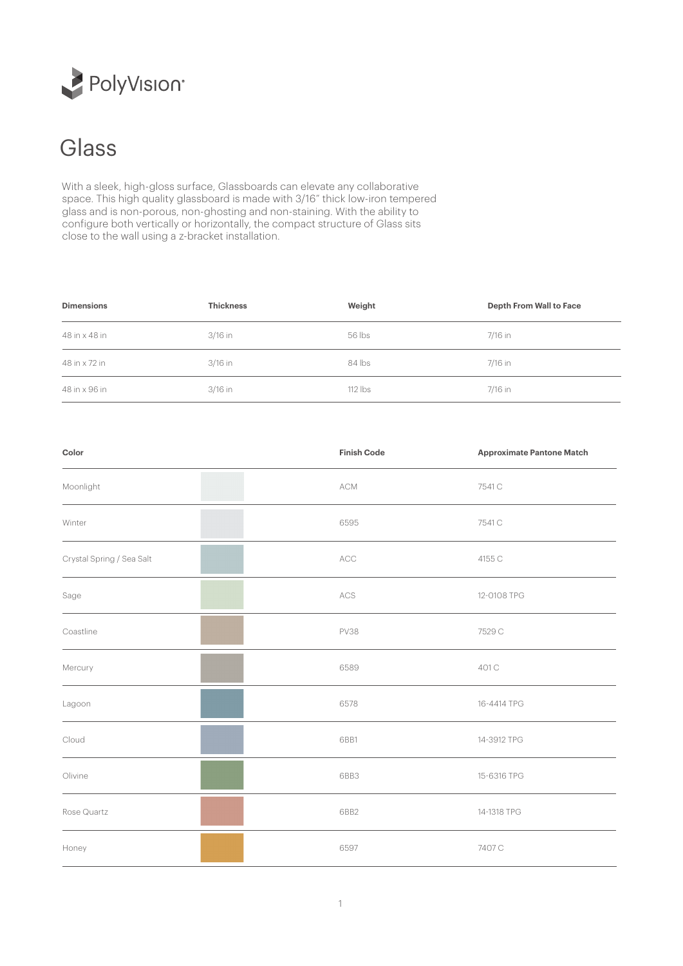

## Glass

With a sleek, high-gloss surface, Glassboards can elevate any collaborative space. This high quality glassboard is made with 3/16" thick low-iron tempered glass and is non-porous, non-ghosting and non-staining. With the ability to configure both vertically or horizontally, the compact structure of Glass sits close to the wall using a z-bracket installation.

| <b>Dimensions</b> | <b>Thickness</b> | Weight    | <b>Depth From Wall to Face</b> |
|-------------------|------------------|-----------|--------------------------------|
| 48 in x 48 in     | 3/16 in          | 56 lbs    | 7/16 in                        |
| 48 in x 72 in     | 3/16 in          | 84 lbs    | 7/16 in                        |
| 48 in x 96 in     | 3/16 in          | $112$ lbs | 7/16 in                        |

| Color                     | <b>Finish Code</b> | <b>Approximate Pantone Match</b> |
|---------------------------|--------------------|----------------------------------|
| Moonlight                 | ACM                | 7541 C                           |
| Winter                    | 6595               | 7541 C                           |
| Crystal Spring / Sea Salt | ACC                | 4155 C                           |
| Sage                      | $\mathsf{ACS}$     | 12-0108 TPG                      |
| Coastline                 | <b>PV38</b>        | 7529 C                           |
| Mercury                   | 6589               | 401 C                            |
| Lagoon                    | 6578               | 16-4414 TPG                      |
| Cloud                     | 6BB1               | 14-3912 TPG                      |
| Olivine                   | 6BB3               | 15-6316 TPG                      |
| Rose Quartz               | 6BB2               | 14-1318 TPG                      |
| Honey                     | 6597               | 7407 C                           |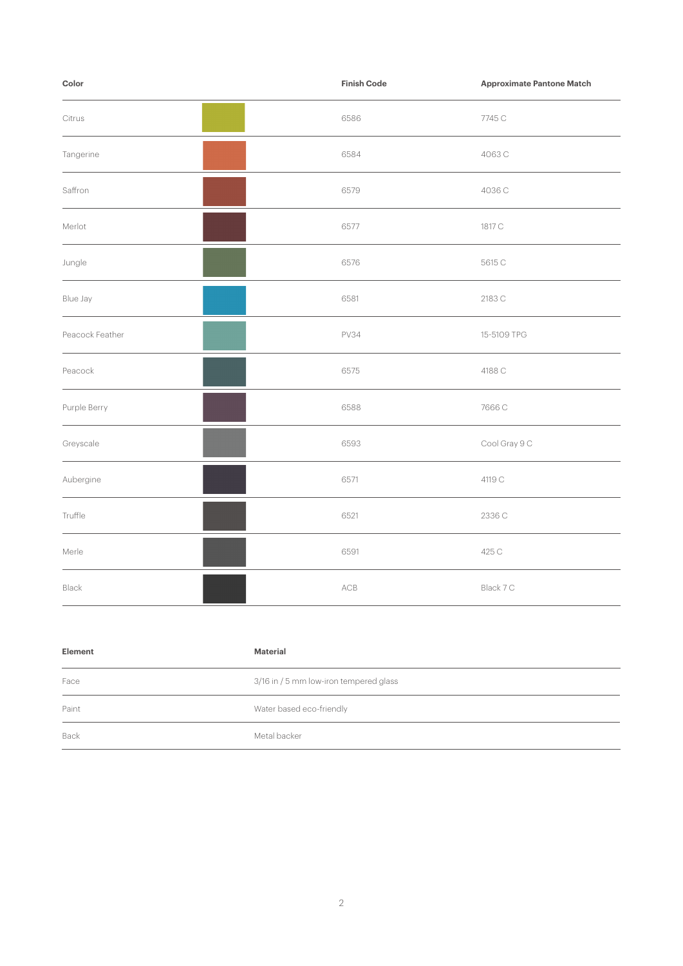| Color           | <b>Finish Code</b> | <b>Approximate Pantone Match</b> |
|-----------------|--------------------|----------------------------------|
| Citrus          | 6586               | 7745 C                           |
| Tangerine       | 6584               | 4063C                            |
| Saffron         | 6579               | 4036 C                           |
| Merlot          | 6577               | 1817 C                           |
| Jungle          | 6576               | 5615 C                           |
| Blue Jay        | 6581               | 2183 C                           |
| Peacock Feather | <b>PV34</b>        | 15-5109 TPG                      |
| Peacock         | 6575               | 4188 C                           |
| Purple Berry    | 6588               | 7666 C                           |
| Greyscale       | 6593               | Cool Gray 9 C                    |
| Aubergine       | 6571               | 4119 C                           |
| Truffle         | 6521               | 2336 C                           |
| Merle           | 6591               | 425 C                            |
| Black           | ACB                | Black 7 C                        |

| Element | Material                               |
|---------|----------------------------------------|
| Face    | 3/16 in / 5 mm low-iron tempered glass |
| Paint   | Water based eco-friendly               |
| Back    | Metal backer                           |